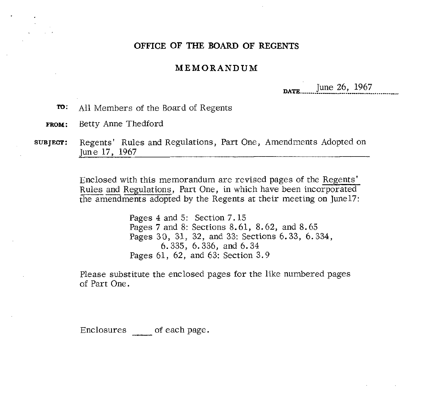# **OFFICE OF THE BOARD OF REGENTS**

## **MEMORANDUM**

**DATE** June 26, 1967

- **To:** All Members of the Board of Regents
- **FROM:** Betty Anne Thedford
- **SUBJECT:** Regents' Rules and Regulations, Part One, Amendments Adopted on June 17, 1967

Enclosed with this memorandum are revised pages of the Regents' Regents' Rules and Regulations, Part One, Amendments Adopted c<br>June 17, 1967<br>Enclosed with this memorandum are revised pages of the <u>Regents'</u><br>Rules and Regulations, Part One, in which have been incorporated<br>the amendments the amendments adopted by the Regents at their meeting on Junel7:

> Pages 4 and 5: Section 7.15 Pages 7 and 8: Sections 8.61, 8.62, and 8.65 Pages 30, 31, 32, and 33: Sections 6.33, 6.334, 6.335, 6.336, and 6.34 Pages 61, 62, and 63: Section 3.9

Please substitute the enclosed pages for the like numbered pages of Part One.

Enclosures of each page.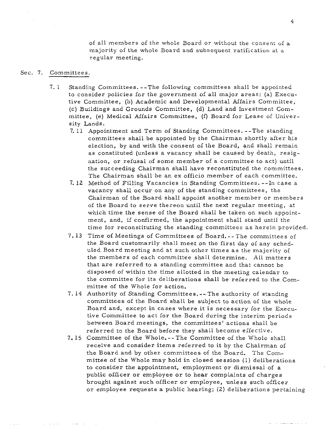of all members of the whole Board or without the consent of a majority of the whole Board and subsequent ratification at a regular meeting.

#### Sec. 7. Committees.

- 7. 1 Standing Committees. --The following committees shall be appointed to consider policies for the government of all major areas: (a) Executive Committee, (b) Academic and Developmental Affairs Committee, (c) Buildings and Grounds Committee, (d) Land and Investment Committee, (e) Medical Affairs Committee, (f) Board for Lease of University Lands.
	- 7. 11 Appointment and Term of Standing Committees. --The standing committees shall be appointed by the Chairman shortly after his election, by and with the consent of the Board, and shall remain as constituted (unless a vacancy shall be caused by death, resignation, or refusal of some member of a committee to act) until the succeeding Chairman shall have reconstituted the committees. The Chairman shall be an ex officio member of each committee.
	- 7. 12 Method of Filling Vacancies in Standing Committees. --In case a vacancy shall occur on any of the standing committees, the Chairman of the Board shall appoint another member or members of the Board to serve thereon until the next regular meeting, at which time the sense of the Board shall be taken on such appointment, and, if confirmed, the appointment shall stand until the time for reconstituting the standing committees as herein provided.
	- 7. **13** Time of Meetings of Committees of Board. -- The committees of the Board customarily shall meet on the first day of any scheduled Board meeting and at such other times as the majority of the members of each committee shall determine. All matters that are referred to a standing committee and that cannot be disposed of within the time allotted in the meeting calendar to the committee for its deliberations shall be referred to the Committee of the Whole for action.
	- 7. 14 Authority of Standing Committees. -- The authority of standing committees of the Board shall be subject to action of the whole Board and, except in cases where it is necessary for the Executive Committee to act for the Board during the interim periods between Board meetings, the committees' actions shall be referred to the Board before they shall become effective.
	- 7.15 Committee of the Whole. -- The Committee of the Whole shall receive and consider items referred to it by the Chairman of the Board and by other committees of the Board. The Committee of the Whole may hold in closed session (1) deliberations to consider the appointment, employment or dismissal of a public officer or employee or to hear complaints of charges brought against such officer or employee, unless such officer or employee requests a public hearing; (2) deliberations pertaining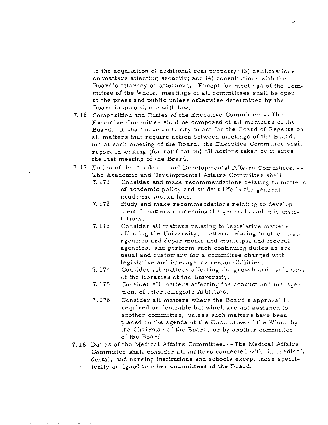to the acquisition of additional real property; **(3)** deliberations on matters affecting security; and (4) consultations with the Board's attorney or attorneys. Except for meetings of the Committee of the Whole, meetings of all committees shall be open to the press and public unless otherwise determined by the Board in accordance with law.

- 7. 16 Composition and Duties of the Executive Committee. --The Executive Committee shall be composed of ail members of the Board. It shall have authority to act for the Board of Regents on all matters that require action between meetings of the Board, but at each meeting of the Board, the Executive Committee shall report in writing (for ratification) all actions taken by it since the last meeting of the Board.
- 7. 17 Duties of the Academic and Developmental Affairs Committee. -- The Academic and Developmental Affairs Committee shall:
	- 7.171 Consider and make recommendations relating to matters of academic policy and student life in the general academic institutions.
	- 7.172 Study and make recommendations relating to developmental matters concerning the general academic institutions.
	- 7.173 Consider all matters relating to legislative matters affecting the University, matters relating to other state agencies and departments and municipal and federal agencies, and perform such continuing duties as are usual and customary for a committee charged with legislative and interagency responsibilities.
	- 7.174 Consider all matters affecting the growth and usefulness of the libraries of the University.
	- 7.175 Consider all matters affecting the conduct and management of Intercollegiate Athletics.
	- 7.176 Consider all matters where the Board's approval is required or desirable but which are not assigned to another committee, unless such matters have been placed on the agenda of the Committee of the Whole by the Chairman of the Board, or by another committee of the Board.
- 7.18 Duties of the Medical Affairs Committee. --The Medical Affairs Committee shall consider all matters connected with the medical, dental, and nursing institutions and schools except those specif
	- ically assigned to other committees of the Board.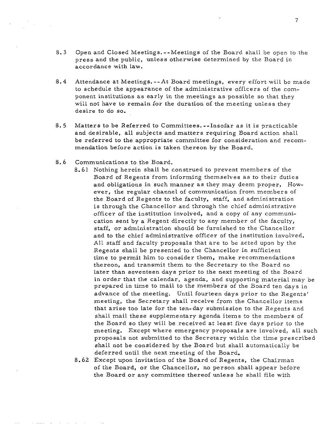- 8.3 Open and Closed Meetings.--Meetings of the Board shall be open to the press and the public, unless otherwise determined by the Board in accordance with law.
- 8.4 Attendance at Meetings. --At Board meetings, every effort will be made to schedule the appearance of the administrative officers of the component institutions as early in the meetings as possible so that they will not have to remain for the duration of the meeting unless they desire to do so.
- 8. 5 Matters to be Referred to Committees. --Insofar as it is practicable and desirable, all subjects and matters requiring Board action shall be referred to the appropriate committee for consideration and recommendation before action is taken thereon by the Board.
- 8.6 Communications to the Board.
	- 8.61 Nothing herein shall be construed to prevent members of the Board of Regents from informing themselves as to their duties and obligations in such manner as they may deem proper. However, the regular channel of communication from members of the Board of Regents to the faculty, staff, and administration is through the Chancellor and through the chief administrative officer of the institution involved, and a copy of any communication sent by a Regent directly to any member of the faculty, staff, or administration should be furnished to the Chancellor and to the chief administrative officer of the institution involved. All staff and faculty proposals that are to be acted upon by the Regents shall be presented to the Chancellor in sufficient time to permit him to consider them, make recommendations thereon, and transmit them to the Secretary to the Board no later than seventeen days prior to the next meeting of the Board in order that the calendar, agenda, and supporting material may be prepared in time to mail to the members of the Board ten days in advance of the meeting. Until fourteen days prior to the Regents' meeting, the Secretary shall receive from the Chancellor items that arise too late for the ten-day submission to the Regents and shall mail these supplementary agenda items to the members of the Board so they will be received at least five days prior to the meeting. Except where emergency proposals are involved, all such proposals not submitted to the Secretary within the time prescribed shall not be considered by the Board but shall automatically be deferred until the next meeting of the Board.
	- 62 Except upon invitation of the Board of Regents, the Chairman of the Board, or the Chancellor, no person shall appear before the Board or any committee thereof unless he shall file with

 $\overline{7}$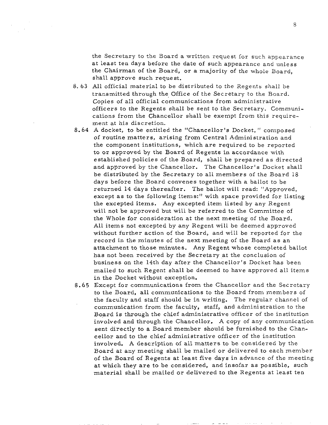the Secretary to the Board a written request for such appearance at least ten days before the date of such appearance and unless the Chairman of the Board, or a majority of the whole Board, shall approve such request.

- 8. *63* All official material to be distributed to the Regents shall be transmitted through the Office of the Secretary to the Board. Copies of all official communications from administrative officers to the Regents shall be sent to the Secretary. Communications from the Chancellor shall be exempt from this requirement at his discretion.
- 8.64 A docket, to be entitled the "Chancellor's Docket, " composed of routine matters, arising from Central Administration and the component institutions, which are required to be reported to or approved by the Board of Regents in accordance with established policies of the Board, shall be prepared as directed and approved by the Chancellor. The Chancellor's Docket shall be distributed by the Secretary to all members of the Board 18 days before the Board convenes together with a ballot to be returned 14 days thereafter. The ballot will read: "Approved, except as to the following items:" with space provided for listing the excepted items. Any excepted item listed by any Regent will not be approved but will be referred to the Committee of the Whole for consideration at the next meeting of the Board. All items not excepted by any Regent will be deemed approved without further action of the Board, and will be reported for the record in the minutes of the next meeting of the Board as an attachment to those minutes. Any Regent whose completed ballot has not been received by the Secretary at the conclusion of business on the 14th day after the Chancellor's Docket has been mailed to such Regent shall be deemed to have approved all items in the Docket without exception.
- 8.65 Except for communications from the Chancellor and the Secretary to the Board, all communications to the Board from members of the faculty and staff should be in writing. The regular channel of communication from the faculty, staff, and administration to the Board is through the chief administrative officer of the institution involved and through the Chancellor, A copy of any communication sent directly to a Board member should be furnished to the Chancellor and to the chief administrative officer of the institution involved. A description of all matters to be considered by the Board at any meeting shall be mailed or delivered to each member of the Board of Regents at least five days in advance of the meeting at which they are to be considered, and insofar as possible, such material shall be mailed or delivered to the Regents at least ten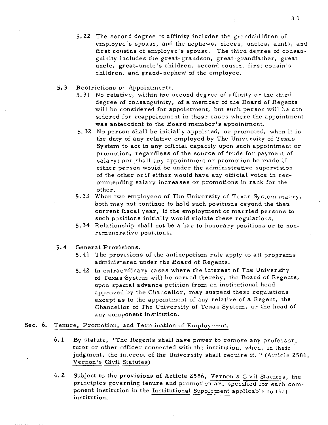- 5.22 The second degree of affinity includes the grandchildren of employee's spouse, and the nephews, nieces, uncles, aunts, and first cousins of employee's spouse. The third degree of consanguinity includes the great- grandson, great- grandfather, greatuncle, great-uncle's children, second cousin, first cousin's children, and grand- nephew of the employee.
- **5.3** Restrictions on Appointments.
	- 5.31 No relative, within the second degree of affinity or the third degree of consanguinity, of a member of the Board of Regents will be considered for appointment, but such person will be considered for reappointment in those cases where the appointment was antecedent to the Board member's appointment.
	- 5. 32 No person shall be initially appointed, or promoted, when it is the duty of any relative employed by The University of Texas System to act in any official capacity upon such appointment or promotion, regardless of the source of funds for payment of salary; nor shall any appointment or promotion be made if either person would be under the administrative supervision of the other or if either would have any official voice in recommending salary increases or promotions in rank for the other.
	- 5.33 When two employees of The University of Texas System marry, both may not continue to hold such positions beyond the then current fiscal year, if the employment of married persons to such positions initially would violate these regulations.
	- 5.34 Relationship shall not be a bar to honorary positions or to nonremunerative positions.
- 5.4 General Provisions.
	- 5.41 The provisions of the antinepotism rule apply to all programs administered under the Board of Regents.
	- 5.42 In extraordinary cases where the interest of The University of Texas 'System will be served thereby, the Board of Regents, upon special advance petition from an institutional head approved by the Chancellor, may suspend these regulations except as to the appointment of any relative of a Regent, the Chancellor of The University of Texas System, or the head of any component institution.

- Sec. 6. Tenure, Promotion, and Termination of Employment.<br>
6.1 By statute, "The Regents shall have power to re<br>
tutor or other officer connected with the instituti<br>
judgment, the interest of the University shall re<br>
<u>Verno</u> **6. 1** By statute, "The Regents shall have power to remove any professor, tutor or other officer connected with the institution. when. in their judgment, the interest of the University shall require it. " (Article 2586,
	- 6. **2** Subject to the provisions of Article 2586, Vernon's Civil Statutes, the principles governing tenure and promotion are specified for each component institution in the Institutional Supplement applicable to that institution.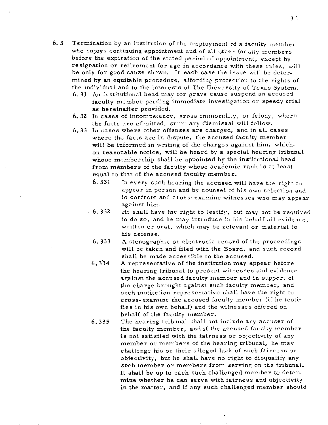- *6.* **3** Termination by an institution of the employment of a faculty member who enjoys continuing appointment and of all other faculty members before the expiration of the stated period of appointment, except by resignation or retirement for age in accordance with these rules, will be only for good cause shown. In each case the issue will be determined by an equitable procedure, affording protection to the rights of the individual and to the interests of The University of Texas System.
	- *6.* 31 An institutional head may for grave cause suspend an accused faculty member pending immediate investigation or speedy trial as hereinafter provided.
	- *6.* **32** In cases of incompetency, gross immorality, or felony, where the facts are admitted, summary dismissal will follow.
	- **6.33** In cases where other offenses are charged, and in all cases where the facts are in dispute, the accused faculty member wilt be informed in writing of the charges against him, which, on reasonable notice, will be heard by a special hearing tribunal whose membership shall be appointed by the institutional head from members of the faculty whose academic rank is at least equal to that of the accused faculty member.
		- $6.331$ In every such hearing the accused will have the right to appear in person and by counsel of his own selection and to confront and cross-examine witnesses who may appear against him.
		- $6.332$ He shall have the right to testify, but may not be required to do so, and he may introduce in his behalf all evidence, written or oral, which may be relevant or material to his defense.
			- $6.333$ A stenographic or electronic record of the proceedings will be taken and filed with the Board, and such record shall be made accessible to the accused.
			- 6.334 A representative of the institution may appear before the hearing tribunal to present witnesses and evidence against the accused faculty member and in support of the charge brought against such faculty member, and such institution representative shall have the right to cross- examine the accused faculty member (if he testifies in his own behalf) and the witnesses offered on behalf of the faculty member.
		- The hearing tribunal shall not include any accuser of  $6.335$ the faculty member, and if the accused faculty member is not satisfied with the fairness or objectivity of any member or members of the hearing tribunal, he may challenge his or their alleged lack of such fairness or objectivity, but he shall have no right to disqualify any such member or members from serving on the tribunal. It shall be up to each such challenged member to determine whether he can serve with fairness and objectivity in the matter, and if any such challenged member should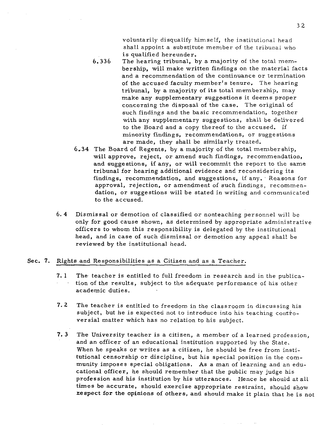voluntarily disqualify himself, the institutional head shall appoint a substitute member of the tribunal who is qualified hereunder.

- *6.336* The hearing tribunal, by a majority of the total membership, will make written findings on the material facts and a recommendation of the continuance or termination of the accused faculty member's tenure. The hearing tribunal, by a majority of its total membership, may make any supplementary suggestions it deems proper concerning the disposal of the case. The original of such findings and the basic recommendation, together with any supplementary suggestions, shall be delivered to the Board and a copy thereof to the accused. If minority findings, recommendations, or suggestions are made, they shall be similarly treated.
- 6-34 The Board of Regents, by a majority of the total membership, will approve, reject, or amend such findings, recommendation, and suggestions, if any, or will recommit the report to the same tribunal for hearing additional evidence and reconsidering its findings, recommendation, and suggestions, if any. Reasons for approval, rejection, or amendment of such findings, recommendation, or suggestions will be stated in writing and communicated to the accused.
- 6. **4** Dismissal or demotion of classified or nonteaching personnel will be only for good cause shown, as determined by appropriate administrative officers to whom this responsibility is delegated by the institutional head, and in case of such dismissal or demotion any appeal shall be reviewed by the institutional head.

### Sec. 7. Rights and Responsibilities as a Citizen and as a Teacher.

- **7. 1** The. teacher is entitled to full freedom in research and in the publication of the results, subject to the adequate performance of his other academic duties.
- **7.2** The teacher is entitled to freedom in the classroom in discussing his subject, but he is expected not to introduce into his teaching controversial matter which has no relation to his subject.
- **7. 3** The University teacher is a citizen, a member of a learned profession, and an officer of an educational institution supported by the State. When he speaks or writes as a citizen, he should be free from institutional censorship or discipline, but his special position in the community imposes special obligations. As a man of learning and an educational officer, he should remember that the public may judge his profession and his institution by his utterances. Hence he should at all times be accurate, should exercise appropriate restraint, should show nespect for the opinions of others, and should make it plain that he is not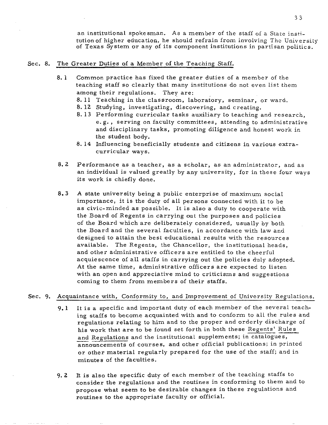an institutional spokesman. As a member of the staff of a State institutionof higher education, he should refrain from involving The University of Texas System or any of its component institutions in partisan politics.

# Sec. 8. The Greater Duties of a Member of the Teaching Staff.

- 8. 1 Common practice has fixed the greater duties of a member of the teaching staff so clearly that many institutions do not even list them among their regulations. They are:
	- 8. 11 Teaching in the classroom, laboratory, seminar, or ward.
	- 8. 12 Studying, investigating, discovering, and creating.
	- 8. 13 Performing curricular tasks auxiliary to teaching and research, e. g. , serving on faculty committees, attending to administrative and disciplinary tasks, promoting diligence and honest work in the student body.
	- 8. 14 Influencing beneficially students and citizens in various extracurricular ways.
- 8.2 Performance as a teacher, as a scholar, as an administrator, and as an individual is valued greatly by any university, for in these four ways its work is chiefly done.
- **8.3** A state university being a public enterprise of maximum social importance, it is the duty of all persons connected with it to be as civic-minded as possible. It is also a duty to cooperate with the Board of Regents in carrying out the purposes and policies of the Board which are deliberately considered, usually by both the Board and the several faculties, in accordance with Law and designed to attain the best educational results with the resources available. The Regents, the Chancellor, the institutional heads, and other administrative officers are entitled to the cheerful acquiescence of all staffs in carrying out the policies duly adopted. At the same time, administrative officers are expected to listen with an open and appreciative mind to criticisms and suggestions coming to them from members of their staffs.

## Sec. 9. Acquaintance with, Conformity to, and Improvement of University Regulations.

- 9.1 It is a specific and important duty of each member of the several teaching staffs to become acquainted with and to conform to all the rules and regulations relating to him and to the proper and orderly discharge of his work that are to be found set forth in both these Regents' Rules and Regulations and the institutional supplements; in catalogues, announcements of courses, and other official publications; in printed or other material regularly prepared for the use of the staff; and in minutes of the faculties.
- **9. 2** It is also the specific duty of each member of the teaching staffs to consider the regulations and the routines in conforming to them and to propose what seem to be desirable changes in these regulations and routines to the appropriate faculty or official.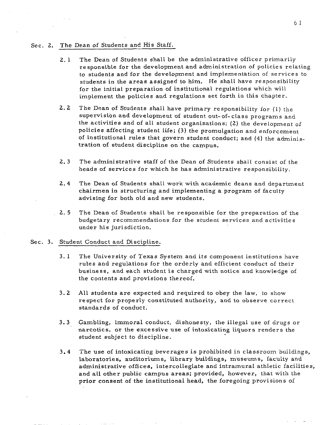#### Sec. 2. The Dean of Students and His Staff.

- $2.1$ The Dean of Students shall be the administrative officer primarily responsible for the development and administration of policies relating to students and for the development and implementation of services to students in the areas assigned to him. He shall have responsibility for the initial preparation of institutional regulations which will implement the policies and regulations set forth in this chapter.
- $2.2$ The Dean of Students shall have primary responsibility for (1) the supervision and development of student out-of-class programs and the activities and of all student organizations; (2) the development of policies affecting student life; **(3)** the promulgation and enforcement of institutional rules that govern student conduct; and (4) the administration of student discipline on the campus.
- $2.3$ The administrative staff of the Dean of Students shall consist of the heads of services for which he has administrative responsibility.
- $2.4$ The Dean of Students shall work with academic deans and department chairmen in structuring and implementing a program of faculty advising for both old and new students.
- $2.5$ The Dean of Students shall be responsible for the preparation of the budgetary recommendations for the student services and activities under his jurisdiction.

#### Sec. **3.** Student Conduct and Discipline.

- $3.1$ The University of Texas System and its component institutions have rules and regulations for the orderly and efficient conduct of their business, and each student is charged with notice and knowledge of the contents and provisions thereof.
- $3.2$ All students are expected and required to obey the law, to show respect for properly constituted authority, and to observe correct standards of conduct.
- $3.3$ Gambling, immoral conduct, dishonesty, the illegal use of drugs or narcotics, or the excessive use of intoxicating liquors renders the student subject to discipline.
- $3.4$ The use of intoxicating beverages is prohibited in classroom buildings, laboratories, auditoriums, library buildings, museums, faculty and administrative offices, intercollegiate and intramural athletic facilities, and all other public campus areas; provided, however, that with the prior consent of the institutional head, the foregoing provisions of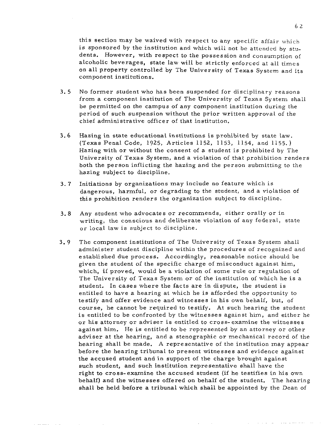this section may be waived with respect to any specific affair which is sponsored by the institution and which will not be attended by students. However, with respect to the possession and consumption of alcoholic beverages, state law will be strictly enforced at all times on all property controlled by The University of Texas System and its component institutions.

- **3. 5** No former student who has been suspended for disciplinary reasons from a component institution of The University of Texas System shall be permitted on the campus of any component institution during the period of such suspension without the prior written approval of the chief administrative officer of that institution.
- *3.6* Hazing in state educational institutions is prohibited by state Law. (Texas Penal Code, 1925, Articles 1152, 1153, 1154, and 1155. ) Hazing with or without the consent of a student is prohibited by The University of Texas System, and a violation of that prohibition renders both the person inflicting the hazing and the person submitting to the hazing subject to discipline.
- **3. 7** Initiations by organizations may include no feature which is dangerous, harmful, or degrading to the student, and a violation of this prohibition renders the organization subject to discipline.
- **3.8** Any student who advocates or recommends, either orally or in writing, the conscious and deliberate violation of any federal, state or local Law is subject to discipline.
- **3.** 9 The component institutions of The University of Texas System shall administer student discipline within the procedures of recognized and established due process. Accordingly, reasonable notice should be given the student of the specific charge of misconduct against him, which, if proved, would be a violation of some rule or regulation of The University of Texas System or of the institution of which he is a student. In cases where the facts are in dispute, the student is entitled to have a hearing at which he is afforded the opportunity to testify and offer evidence and witnesses in his own behalf, but, of course, he cannot be required to testify. At such hearing the student is entitled to be confronted by the witnesses against him, and either he or his attorney or adviser is entitled to cross-examine the witnesses against him. He is entitled to be represented by an attorney or other adviser at the hearing, and a stenographic or mechanical record of the hearing shall be made. A representative of the institution may appear before the hearing tribunal to present witnesses and evidence against the accused student and in support of the charge brought against such student, and such institution representative shall have the right to cross-examine the accused student (if he testifies in his own behalf) and the witnesses offered on behalf of the student. The hearing shall be held before a tribunal which shall be appointed by the Dean of